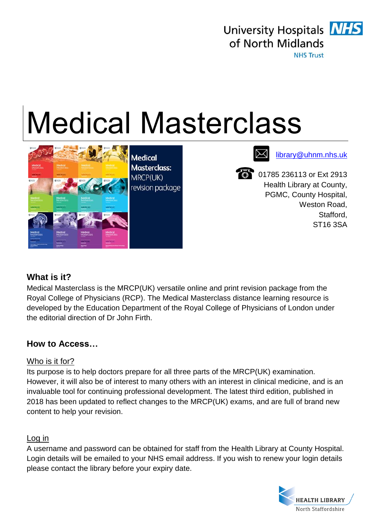

University Hospitals **NHS** of North Midlands **NHS Trust** 

# Medical Masterclass



Medical Medical Medical Medical Medical Medical Medical Medical Medical Medical Medical Medical Medical Medica

**8** 01785 236113 or Ext 2913 Health Library at County, PGMC, County Hospital, Weston Road, Stafford, ST16 3SA

### **What is it?**

Medical Masterclass is the MRCP(UK) versatile online and print revision package from the Royal College of Physicians (RCP). The Medical Masterclass distance learning resource is developed by the Education Department of the Royal College of Physicians of London under the editorial direction of Dr John Firth.

### **How to Access…**

#### Who is it for?

Its purpose is to help doctors prepare for all three parts of the MRCP(UK) examination. However, it will also be of interest to many others with an interest in clinical medicine, and is an invaluable tool for continuing professional development. The latest third edition, published in 2018 has been updated to reflect changes to the MRCP(UK) exams, and are full of brand new content to help your revision.

#### Log in

A username and password can be obtained for staff from the Health Library at County Hospital. Login details will be emailed to your NHS email address. If you wish to renew your login details please contact the library before your expiry date.